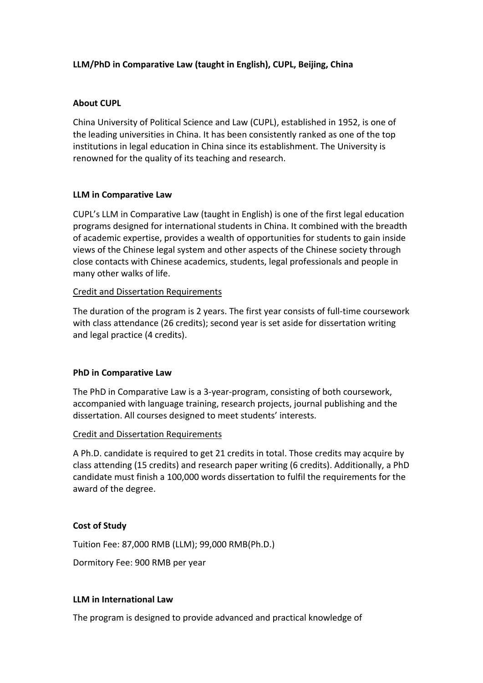# **LLM/PhD in Comparative Law (taught in English), CUPL, Beijing, China**

### **About CUPL**

China University of Political Science and Law (CUPL), established in 1952, is one of the leading universities in China. It has been consistently ranked as one of the top institutions in legal education in China since its establishment. The University is renowned for the quality of its teaching and research.

## **LLM in Comparative Law**

CUPL's LLM in Comparative Law (taught in English) is one of the first legal education programs designed for international students in China. It combined with the breadth of academic expertise, provides a wealth of opportunities for students to gain inside views of the Chinese legal system and other aspects of the Chinese society through close contacts with Chinese academics, students, legal professionals and people in many other walks of life.

## Credit and Dissertation Requirements

The duration of the program is 2 years. The first year consists of full-time coursework with class attendance (26 credits); second year is set aside for dissertation writing and legal practice (4 credits).

# **PhD in Comparative Law**

The PhD in Comparative Law is a 3-year-program, consisting of both coursework, accompanied with language training, research projects, journal publishing and the dissertation. All courses designed to meet students' interests.

### Credit and Dissertation Requirements

A Ph.D. candidate is required to get 21 credits in total. Those credits may acquire by class attending (15 credits) and research paper writing (6 credits). Additionally, a PhD candidate must finish a 100,000 words dissertation to fulfil the requirements for the award of the degree.

# **Cost of Study**

Tuition Fee: 87,000 RMB (LLM); 99,000 RMB(Ph.D.)

Dormitory Fee: 900 RMB per year

### **LLM in International Law**

The program is designed to provide advanced and practical knowledge of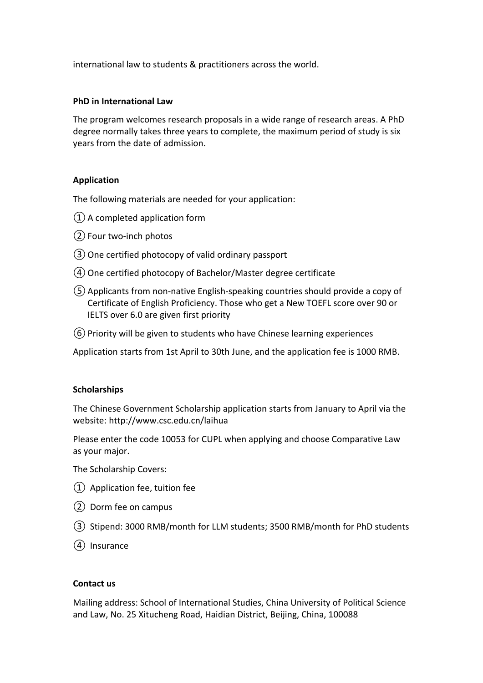international law to students & practitioners across the world.

## **PhD in International Law**

The program welcomes research proposals in a wide range of research areas. A PhD degree normally takes three years to complete, the maximum period of study is six years from the date of admission.

# **Application**

The following materials are needed for your application:

- ①A completed application form
- ②Four two-inch photos
- ③One certified photocopy of valid ordinary passport
- ④One certified photocopy of Bachelor/Master degree certificate
- ⑤Applicants from non-native English-speaking countries should provide a copy of Certificate of English Proficiency. Those who get a New TOEFL score over 90 or IELTS over 6.0 are given first priority
- ⑥Priority will be given to students who have Chinese learning experiences

Application starts from 1st April to 30th June, and the application fee is 1000 RMB.

### **Scholarships**

The Chinese Government Scholarship application starts from January to April via the website: http://www.csc.edu.cn/laihua

Please enter the code 10053 for CUPL when applying and choose Comparative Law as your major.

The Scholarship Covers:

- ① Application fee, tuition fee
- ② Dorm fee on campus
- ③ Stipend: 3000 RMB/month for LLM students; 3500 RMB/month for PhD students
- ④ Insurance

### **Contact us**

Mailing address: School of International Studies, China University of Political Science and Law, No. 25 Xitucheng Road, Haidian District, Beijing, China, 100088